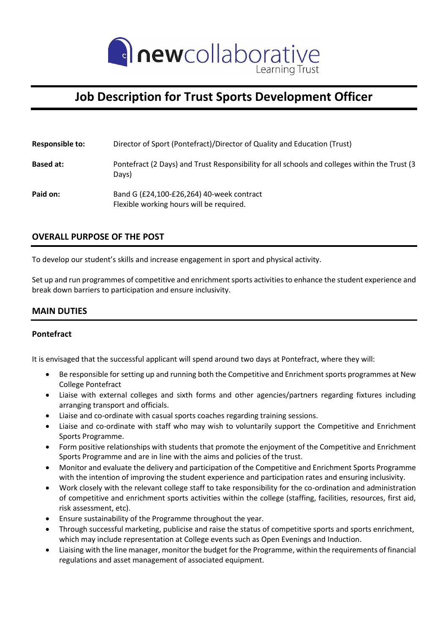

# **Job Description for Trust Sports Development Officer**

| <b>Responsible to:</b> | Director of Sport (Pontefract)/Director of Quality and Education (Trust)                               |
|------------------------|--------------------------------------------------------------------------------------------------------|
| <b>Based at:</b>       | Pontefract (2 Days) and Trust Responsibility for all schools and colleges within the Trust (3<br>Days) |
| Paid on:               | Band G (£24,100-£26,264) 40-week contract<br>Flexible working hours will be required.                  |

## **OVERALL PURPOSE OF THE POST**

To develop our student's skills and increase engagement in sport and physical activity.

Set up and run programmes of competitive and enrichment sports activities to enhance the student experience and break down barriers to participation and ensure inclusivity.

### **MAIN DUTIES**

#### **Pontefract**

It is envisaged that the successful applicant will spend around two days at Pontefract, where they will:

- Be responsible for setting up and running both the Competitive and Enrichment sports programmes at New College Pontefract
- Liaise with external colleges and sixth forms and other agencies/partners regarding fixtures including arranging transport and officials.
- Liaise and co-ordinate with casual sports coaches regarding training sessions.
- Liaise and co-ordinate with staff who may wish to voluntarily support the Competitive and Enrichment Sports Programme.
- Form positive relationships with students that promote the enjoyment of the Competitive and Enrichment Sports Programme and are in line with the aims and policies of the trust.
- Monitor and evaluate the delivery and participation of the Competitive and Enrichment Sports Programme with the intention of improving the student experience and participation rates and ensuring inclusivity.
- Work closely with the relevant college staff to take responsibility for the co-ordination and administration of competitive and enrichment sports activities within the college (staffing, facilities, resources, first aid, risk assessment, etc).
- Ensure sustainability of the Programme throughout the year.
- Through successful marketing, publicise and raise the status of competitive sports and sports enrichment, which may include representation at College events such as Open Evenings and Induction.
- Liaising with the line manager, monitor the budget for the Programme, within the requirements of financial regulations and asset management of associated equipment.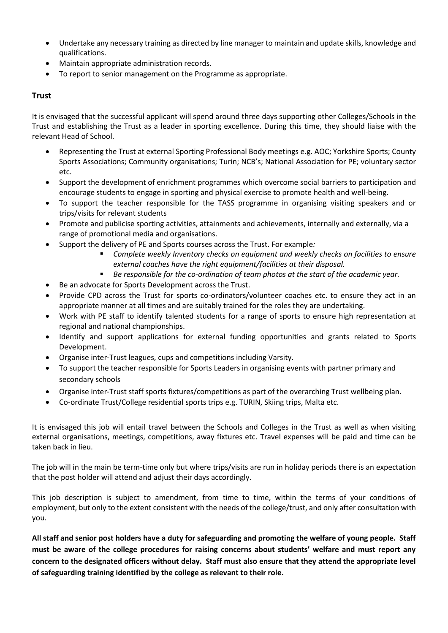- Undertake any necessary training as directed by line manager to maintain and update skills, knowledge and qualifications.
- Maintain appropriate administration records.
- To report to senior management on the Programme as appropriate.

#### **Trust**

It is envisaged that the successful applicant will spend around three days supporting other Colleges/Schools in the Trust and establishing the Trust as a leader in sporting excellence. During this time, they should liaise with the relevant Head of School.

- Representing the Trust at external Sporting Professional Body meetings e.g. AOC; Yorkshire Sports; County Sports Associations; Community organisations; Turin; NCB's; National Association for PE; voluntary sector etc.
- Support the development of enrichment programmes which overcome social barriers to participation and encourage students to engage in sporting and physical exercise to promote health and well-being.
- To support the teacher responsible for the TASS programme in organising visiting speakers and or trips/visits for relevant students
- Promote and publicise sporting activities, attainments and achievements, internally and externally, via a range of promotional media and organisations.
- Support the delivery of PE and Sports courses across the Trust. For example*:*
	- Complete weekly Inventory checks on equipment and weekly checks on facilities to ensure *external coaches have the right equipment/facilities at their disposal.*
	- *Be responsible for the co-ordination of team photos at the start of the academic year.*
- Be an advocate for Sports Development across the Trust.
- Provide CPD across the Trust for sports co-ordinators/volunteer coaches etc. to ensure they act in an appropriate manner at all times and are suitably trained for the roles they are undertaking.
- Work with PE staff to identify talented students for a range of sports to ensure high representation at regional and national championships.
- Identify and support applications for external funding opportunities and grants related to Sports Development.
- Organise inter-Trust leagues, cups and competitions including Varsity.
- To support the teacher responsible for Sports Leaders in organising events with partner primary and secondary schools
- Organise inter-Trust staff sports fixtures/competitions as part of the overarching Trust wellbeing plan.
- Co-ordinate Trust/College residential sports trips e.g. TURIN, Skiing trips, Malta etc.

It is envisaged this job will entail travel between the Schools and Colleges in the Trust as well as when visiting external organisations, meetings, competitions, away fixtures etc. Travel expenses will be paid and time can be taken back in lieu.

The job will in the main be term-time only but where trips/visits are run in holiday periods there is an expectation that the post holder will attend and adjust their days accordingly.

This job description is subject to amendment, from time to time, within the terms of your conditions of employment, but only to the extent consistent with the needs of the college/trust, and only after consultation with you.

**All staff and senior post holders have a duty for safeguarding and promoting the welfare of young people. Staff must be aware of the college procedures for raising concerns about students' welfare and must report any concern to the designated officers without delay. Staff must also ensure that they attend the appropriate level of safeguarding training identified by the college as relevant to their role.**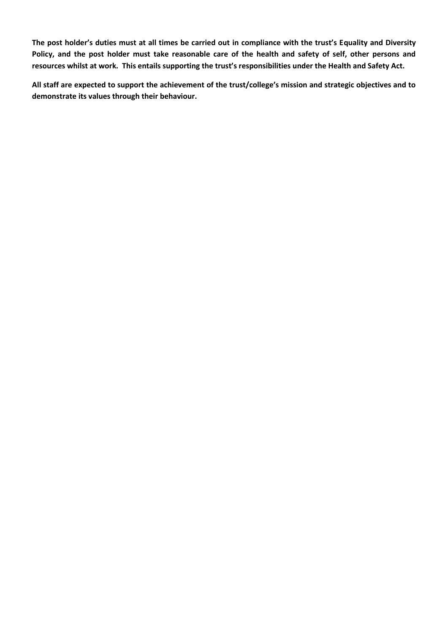**The post holder's duties must at all times be carried out in compliance with the trust's Equality and Diversity Policy, and the post holder must take reasonable care of the health and safety of self, other persons and resources whilst at work. This entails supporting the trust's responsibilities under the Health and Safety Act.**

**All staff are expected to support the achievement of the trust/college's mission and strategic objectives and to demonstrate its values through their behaviour.**